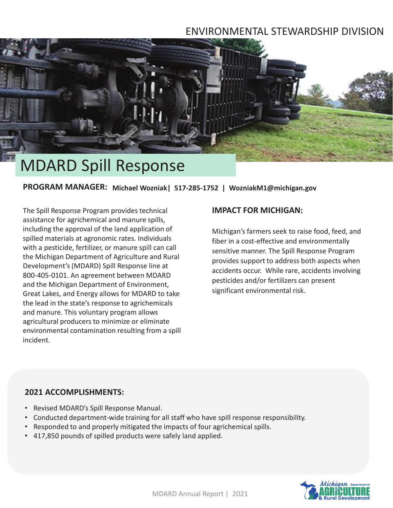## ENVIRONMENTAL STEWARDSHIP DIVISION



# MDARD Spill Response

**PROGRAM MANAGER: Michael Wozniak| 517-285-1752 | WozniakM1@michigan.gov**

The Spill Response Program provides technical assistance for agrichemical and manure spills, including the approval of the land application of spilled materials at agronomic rates. Individuals with a pesticide, fertilizer, or manure spill can call the Michigan Department of Agriculture and Rural Development's (MDARD) Spill Response line at 800-405-0101. An agreement between MDARD and the Michigan Department of Environment, Great Lakes, and Energy allows for MDARD to take the lead in the state's response to agrichemicals and manure. This voluntary program allows agricultural producers to minimize or eliminate environmental contamination resulting from a spill incident.

#### **IMPACT FOR MICHIGAN:**

Michigan's farmers seek to raise food, feed, and fiber in a cost-effective and environmentally sensitive manner. The Spill Response Program provides support to address both aspects when accidents occur. While rare, accidents involving pesticides and/or fertilizers can present significant environmental risk.

#### **2021 ACCOMPLISHMENTS:**

- Revised MDARD's Spill Response Manual.
- Conducted department-wide training for all staff who have spill response responsibility.
- Responded to and properly mitigated the impacts of four agrichemical spills.
- 417,850 pounds of spilled products were safely land applied.